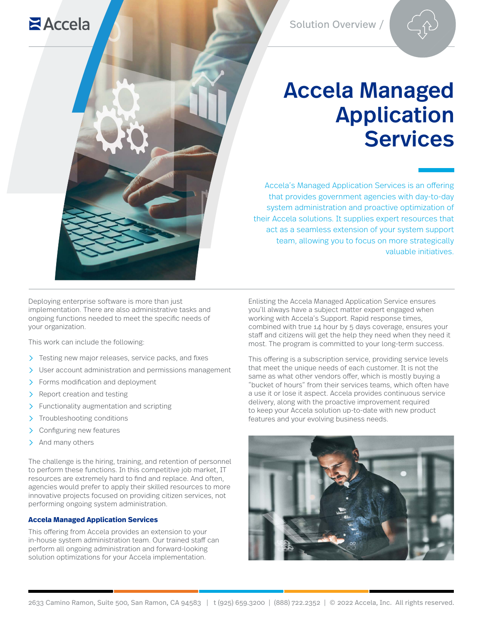# Accela Managed Application Services

Accela's Managed Application Services is an offering that provides government agencies with day-to-day system administration and proactive optimization of their Accela solutions. It supplies expert resources that act as a seamless extension of your system support team, allowing you to focus on more strategically valuable initiatives.

Deploying enterprise software is more than just implementation. There are also administrative tasks and ongoing functions needed to meet the specific needs of your organization.

This work can include the following:

- $\sum$  Testing new major releases, service packs, and fixes
- User account administration and permissions management
- $\sum$  Forms modification and deployment
- $\sum$  Report creation and testing
- $\sum$  Functionality augmentation and scripting
- > Troubleshooting conditions
- > Configuring new features
- $\sum$  And many others

**Z**Accela

The challenge is the hiring, training, and retention of personnel to perform these functions. In this competitive job market, IT resources are extremely hard to find and replace. And often, agencies would prefer to apply their skilled resources to more innovative projects focused on providing citizen services, not performing ongoing system administration.

#### **Accela Managed Application Services**

This offering from Accela provides an extension to your in-house system administration team. Our trained staff can perform all ongoing administration and forward-looking solution optimizations for your Accela implementation.

Enlisting the Accela Managed Application Service ensures you'll always have a subject matter expert engaged when working with Accela's Support. Rapid response times, combined with true 14 hour by 5 days coverage, ensures your staff and citizens will get the help they need when they need it most. The program is committed to your long-term success.

This offering is a subscription service, providing service levels that meet the unique needs of each customer. It is not the same as what other vendors offer, which is mostly buying a "bucket of hours" from their services teams, which often have a use it or lose it aspect. Accela provides continuous service delivery, along with the proactive improvement required to keep your Accela solution up-to-date with new product features and your evolving business needs.